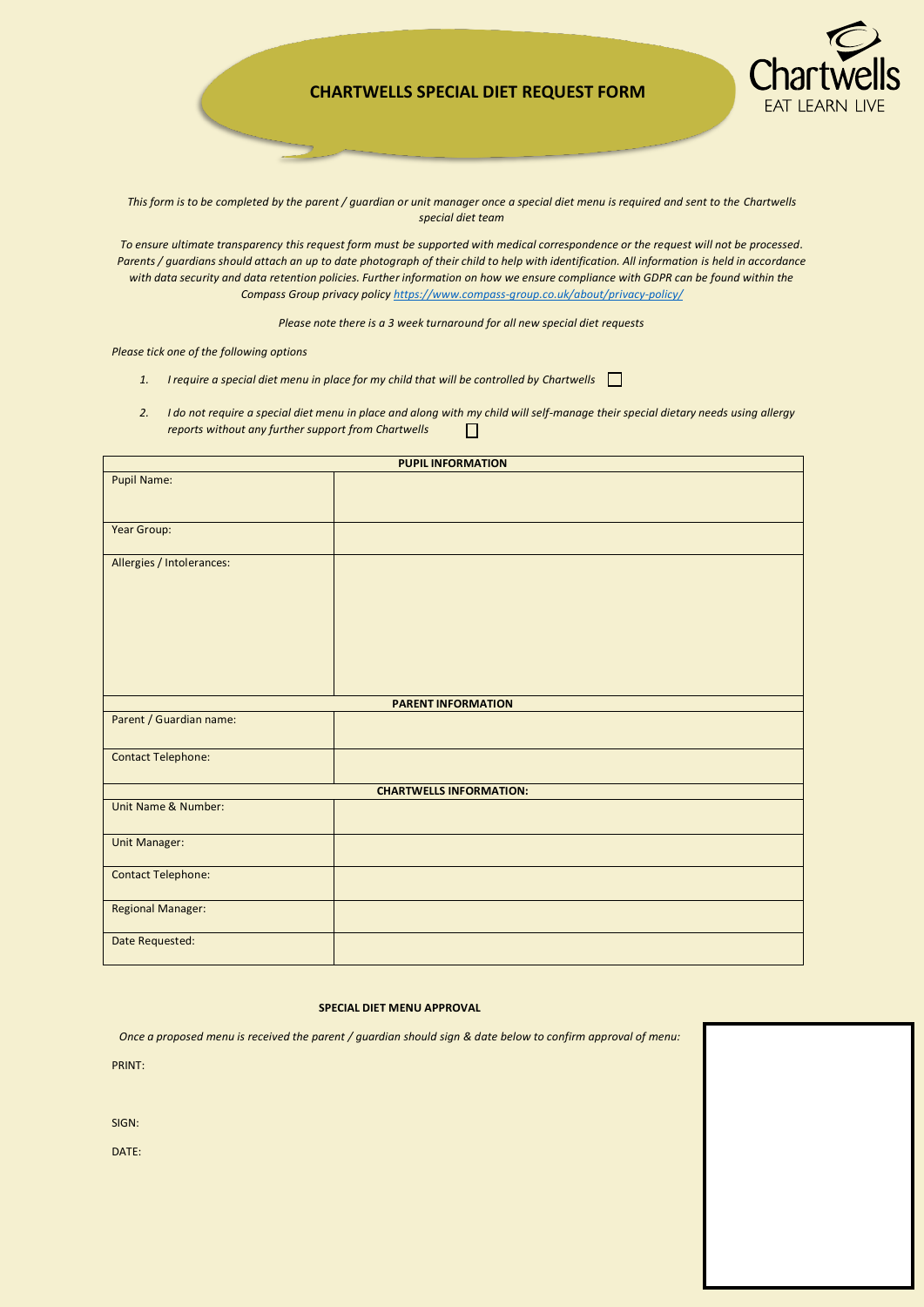## Special Diet Request Form **CHARTWELLS SPECIAL DIET REQUEST FORM**



*This form is to be completed by the parent / guardian or unit manager once a special diet menu is required and sent to the Chartwells special diet team*

*To ensure ultimate transparency this request form must be supported with medical correspondence or the request will not be processed. Parents / guardians should attach an up to date photograph of their child to help with identification. All information is held in accordance with data security and data retention policies. Further information on how we ensure compliance with GDPR can be found within the Compass Group privacy policy [https://www.compass-group.co.uk/about/privacy-policy/](https://na01.safelinks.protection.outlook.com/?url=https%3A%2F%2Fwww.compass-group.co.uk%2Fabout%2Fprivacy-policy%2F&data=02%7C01%7CStephanie.Hall%40compass-group.co.uk%7C91a58546e01a4a76c72d08d61725bc4a%7Ccd62b7dd4b4844bd90e7e143a22c8ead%7C0%7C0%7C636721848171787941&sdata=pYeWWyXKIPEGeUdnFbEeaZgOGfflsBOaSA0ymdqlryI%3D&reserved=0)*

*Please note there is a 3 week turnaround for all new special diet requests*

*Please tick one of the following options*

- *1. I require a special diet menu in place for my child that will be controlled by Chartwells*
- *2. I do not require a special diet menu in place and along with my child will self-manage their special dietary needs using allergy reports without any further support from Chartwells*   $\Box$

| <b>PUPIL INFORMATION</b>       |  |
|--------------------------------|--|
| Pupil Name:                    |  |
|                                |  |
|                                |  |
| Year Group:                    |  |
|                                |  |
| Allergies / Intolerances:      |  |
|                                |  |
|                                |  |
|                                |  |
|                                |  |
|                                |  |
|                                |  |
|                                |  |
| <b>PARENT INFORMATION</b>      |  |
| Parent / Guardian name:        |  |
|                                |  |
|                                |  |
| <b>Contact Telephone:</b>      |  |
|                                |  |
| <b>CHARTWELLS INFORMATION:</b> |  |
| Unit Name & Number:            |  |
|                                |  |
| <b>Unit Manager:</b>           |  |
|                                |  |
| <b>Contact Telephone:</b>      |  |
|                                |  |
| <b>Regional Manager:</b>       |  |
|                                |  |
| Date Requested:                |  |

## **SPECIAL DIET MENU APPROVAL**

*Once a proposed menu is received the parent / guardian should sign & date below to confirm approval of menu:*

PRINT:

SIGN:

DATE: